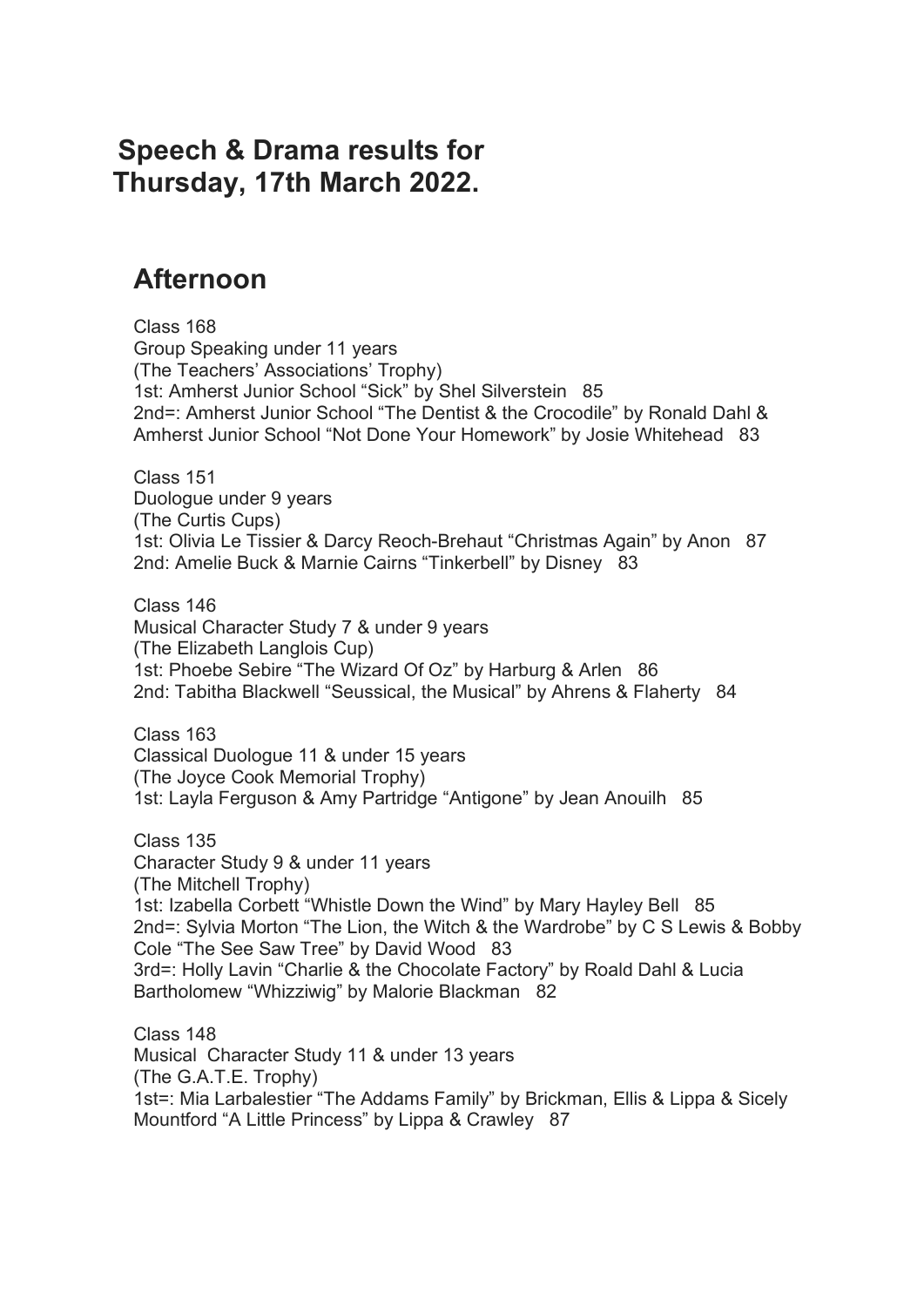## **Speech & Drama results for Thursday, 17th March 2022.**

## **Afternoon**

 Class 168 Group Speaking under 11 years (The Teachers' Associations' Trophy) 1st: Amherst Junior School "Sick" by Shel Silverstein 85 2nd=: Amherst Junior School "The Dentist & the Crocodile" by Ronald Dahl & Amherst Junior School "Not Done Your Homework" by Josie Whitehead 83

 Class 151 Duologue under 9 years (The Curtis Cups) 1st: Olivia Le Tissier & Darcy Reoch-Brehaut "Christmas Again" by Anon 87 2nd: Amelie Buck & Marnie Cairns "Tinkerbell" by Disney 83

 Class 146 Musical Character Study 7 & under 9 years (The Elizabeth Langlois Cup) 1st: Phoebe Sebire "The Wizard Of Oz" by Harburg & Arlen 86 2nd: Tabitha Blackwell "Seussical, the Musical" by Ahrens & Flaherty 84

 Class 163 Classical Duologue 11 & under 15 years (The Joyce Cook Memorial Trophy) 1st: Layla Ferguson & Amy Partridge "Antigone" by Jean Anouilh 85

 Class 135 Character Study 9 & under 11 years (The Mitchell Trophy) 1st: Izabella Corbett "Whistle Down the Wind" by Mary Hayley Bell 85 2nd=: Sylvia Morton "The Lion, the Witch & the Wardrobe" by C S Lewis & Bobby Cole "The See Saw Tree" by David Wood 83 3rd=: Holly Lavin "Charlie & the Chocolate Factory" by Roald Dahl & Lucia Bartholomew "Whizziwig" by Malorie Blackman 82

 Class 148 Musical Character Study 11 & under 13 years (The G.A.T.E. Trophy) 1st=: Mia Larbalestier "The Addams Family" by Brickman, Ellis & Lippa & Sicely Mountford "A Little Princess" by Lippa & Crawley 87